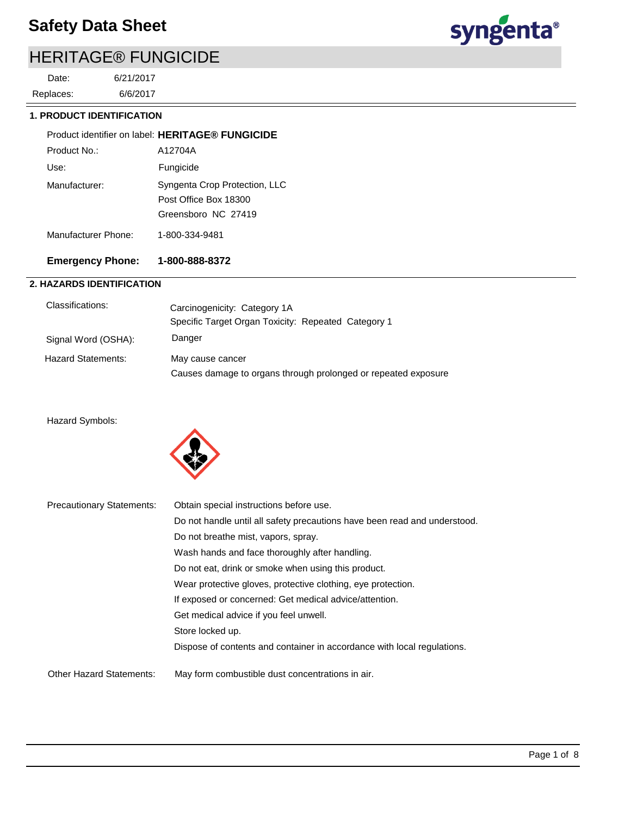# HERITAGE® FUNGICIDE

6/6/2017 6/21/2017 Replaces: Date:



 **1. PRODUCT IDENTIFICATION**

|                     | Product identifier on label: HERITAGE® FUNGICIDE                              |
|---------------------|-------------------------------------------------------------------------------|
| Product No :        | A12704A                                                                       |
| Use:                | Fungicide                                                                     |
| Manufacturer:       | Syngenta Crop Protection, LLC<br>Post Office Box 18300<br>Greensboro NC 27419 |
| Manufacturer Phone: | 1-800-334-9481                                                                |

## **Emergency Phone: 1-800-888-8372**

## **2. HAZARDS IDENTIFICATION**

| Classifications:          | Carcinogenicity: Category 1A<br>Specific Target Organ Toxicity: Repeated Category 1 |
|---------------------------|-------------------------------------------------------------------------------------|
| Signal Word (OSHA):       | Danger                                                                              |
| <b>Hazard Statements:</b> | May cause cancer<br>Causes damage to organs through prolonged or repeated exposure  |

#### Hazard Symbols:



| <b>Precautionary Statements:</b> | Obtain special instructions before use.                                   |
|----------------------------------|---------------------------------------------------------------------------|
|                                  | Do not handle until all safety precautions have been read and understood. |
|                                  | Do not breathe mist, vapors, spray.                                       |
|                                  | Wash hands and face thoroughly after handling.                            |
|                                  | Do not eat, drink or smoke when using this product.                       |
|                                  | Wear protective gloves, protective clothing, eye protection.              |
|                                  | If exposed or concerned: Get medical advice/attention.                    |
|                                  | Get medical advice if you feel unwell.                                    |
|                                  | Store locked up.                                                          |
|                                  | Dispose of contents and container in accordance with local regulations.   |
|                                  |                                                                           |
| <b>Other Hazard Statements:</b>  | May form combustible dust concentrations in air.                          |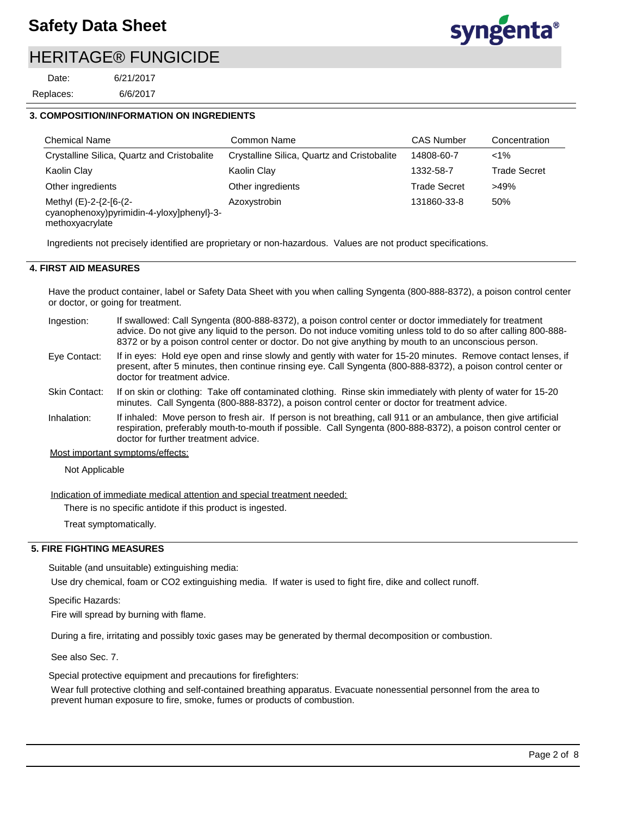# HERITAGE® FUNGICIDE

6/6/2017 6/21/2017 Replaces: Date:

#### **3. COMPOSITION/INFORMATION ON INGREDIENTS**

| <b>Chemical Name</b>                                                                   | Common Name                                 | <b>CAS Number</b>   | Concentration       |
|----------------------------------------------------------------------------------------|---------------------------------------------|---------------------|---------------------|
| Crystalline Silica, Quartz and Cristobalite                                            | Crystalline Silica, Quartz and Cristobalite | 14808-60-7          | $< 1\%$             |
| Kaolin Clay                                                                            | Kaolin Clay                                 | 1332-58-7           | <b>Trade Secret</b> |
| Other ingredients                                                                      | Other ingredients                           | <b>Trade Secret</b> | $>49\%$             |
| Methyl (E)-2-{2-[6-(2-<br>cyanophenoxy)pyrimidin-4-yloxy]phenyl}-3-<br>methoxyacrylate | Azoxystrobin                                | 131860-33-8         | 50%                 |

Ingredients not precisely identified are proprietary or non-hazardous. Values are not product specifications.

#### **4. FIRST AID MEASURES**

Have the product container, label or Safety Data Sheet with you when calling Syngenta (800-888-8372), a poison control center or doctor, or going for treatment.

- If swallowed: Call Syngenta (800-888-8372), a poison control center or doctor immediately for treatment advice. Do not give any liquid to the person. Do not induce vomiting unless told to do so after calling 800-888- 8372 or by a poison control center or doctor. Do not give anything by mouth to an unconscious person. Ingestion:
- If in eyes: Hold eye open and rinse slowly and gently with water for 15-20 minutes. Remove contact lenses, if present, after 5 minutes, then continue rinsing eye. Call Syngenta (800-888-8372), a poison control center or doctor for treatment advice. Eye Contact:
- If on skin or clothing: Take off contaminated clothing. Rinse skin immediately with plenty of water for 15-20 minutes. Call Syngenta (800-888-8372), a poison control center or doctor for treatment advice. Skin Contact:
- If inhaled: Move person to fresh air. If person is not breathing, call 911 or an ambulance, then give artificial respiration, preferably mouth-to-mouth if possible. Call Syngenta (800-888-8372), a poison control center or doctor for further treatment advice. Inhalation:

Most important symptoms/effects:

Not Applicable

Indication of immediate medical attention and special treatment needed:

There is no specific antidote if this product is ingested.

Treat symptomatically.

#### **5. FIRE FIGHTING MEASURES**

Suitable (and unsuitable) extinguishing media:

Use dry chemical, foam or CO2 extinguishing media. If water is used to fight fire, dike and collect runoff.

Specific Hazards:

Fire will spread by burning with flame.

During a fire, irritating and possibly toxic gases may be generated by thermal decomposition or combustion.

See also Sec. 7.

Special protective equipment and precautions for firefighters:

Wear full protective clothing and self-contained breathing apparatus. Evacuate nonessential personnel from the area to prevent human exposure to fire, smoke, fumes or products of combustion.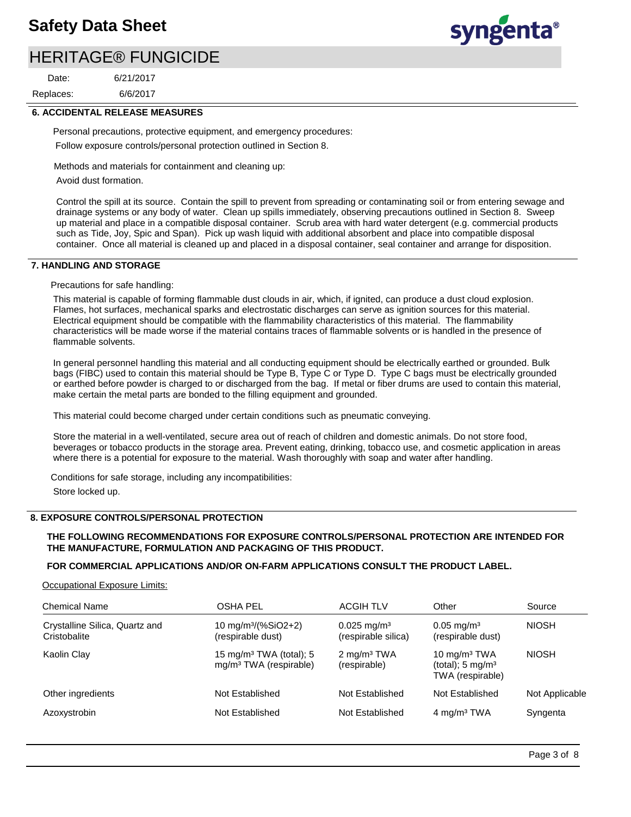## HERITAGE® FUNGICIDE

6/6/2017 6/21/2017 Replaces: Date:



#### **6. ACCIDENTAL RELEASE MEASURES**

Personal precautions, protective equipment, and emergency procedures: Follow exposure controls/personal protection outlined in Section 8.

Methods and materials for containment and cleaning up:

Avoid dust formation.

Control the spill at its source. Contain the spill to prevent from spreading or contaminating soil or from entering sewage and drainage systems or any body of water. Clean up spills immediately, observing precautions outlined in Section 8. Sweep up material and place in a compatible disposal container. Scrub area with hard water detergent (e.g. commercial products such as Tide, Joy, Spic and Span). Pick up wash liquid with additional absorbent and place into compatible disposal container. Once all material is cleaned up and placed in a disposal container, seal container and arrange for disposition.

#### **7. HANDLING AND STORAGE**

Precautions for safe handling:

This material is capable of forming flammable dust clouds in air, which, if ignited, can produce a dust cloud explosion. Flames, hot surfaces, mechanical sparks and electrostatic discharges can serve as ignition sources for this material. Electrical equipment should be compatible with the flammability characteristics of this material. The flammability characteristics will be made worse if the material contains traces of flammable solvents or is handled in the presence of flammable solvents.

In general personnel handling this material and all conducting equipment should be electrically earthed or grounded. Bulk bags (FIBC) used to contain this material should be Type B, Type C or Type D. Type C bags must be electrically grounded or earthed before powder is charged to or discharged from the bag. If metal or fiber drums are used to contain this material, make certain the metal parts are bonded to the filling equipment and grounded.

This material could become charged under certain conditions such as pneumatic conveying.

Store the material in a well-ventilated, secure area out of reach of children and domestic animals. Do not store food, beverages or tobacco products in the storage area. Prevent eating, drinking, tobacco use, and cosmetic application in areas where there is a potential for exposure to the material. Wash thoroughly with soap and water after handling.

Conditions for safe storage, including any incompatibilities: Store locked up.

#### **8. EXPOSURE CONTROLS/PERSONAL PROTECTION**

#### **THE FOLLOWING RECOMMENDATIONS FOR EXPOSURE CONTROLS/PERSONAL PROTECTION ARE INTENDED FOR THE MANUFACTURE, FORMULATION AND PACKAGING OF THIS PRODUCT.**

#### **FOR COMMERCIAL APPLICATIONS AND/OR ON-FARM APPLICATIONS CONSULT THE PRODUCT LABEL.**

Occupational Exposure Limits:

| <b>Chemical Name</b>                           | <b>OSHA PEL</b>                                                           | <b>ACGIH TLV</b>                                 | Other                                                             | Source         |
|------------------------------------------------|---------------------------------------------------------------------------|--------------------------------------------------|-------------------------------------------------------------------|----------------|
| Crystalline Silica, Quartz and<br>Cristobalite | 10 mg/m <sup>3</sup> /(%SiO2+2)<br>(respirable dust)                      | $0.025$ mg/m <sup>3</sup><br>(respirable silica) | $0.05 \,\mathrm{mq/m^3}$<br>(respirable dust)                     | <b>NIOSH</b>   |
| Kaolin Clay                                    | 15 mg/m <sup>3</sup> TWA (total); 5<br>mg/m <sup>3</sup> TWA (respirable) | 2 mg/m <sup>3</sup> TWA<br>(respirable)          | 10 $mg/m3 TWA$<br>(total); $5 \text{ mg/m}^3$<br>TWA (respirable) | <b>NIOSH</b>   |
| Other ingredients                              | Not Established                                                           | Not Established                                  | Not Established                                                   | Not Applicable |
| Azoxystrobin                                   | Not Established                                                           | Not Established                                  | 4 mg/m <sup>3</sup> TWA                                           | Syngenta       |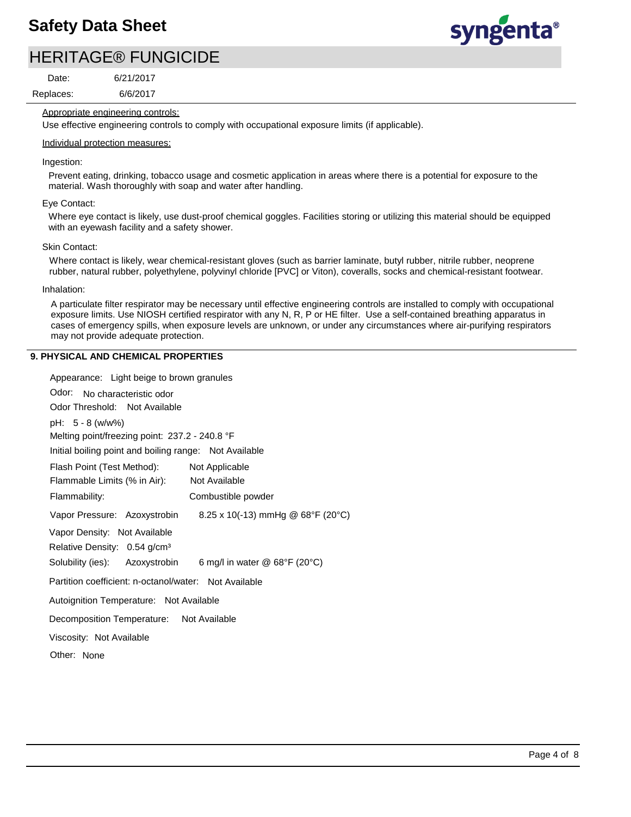# HERITAGE® FUNGICIDE

Replaces: Date:

6/6/2017 6/21/2017



Appropriate engineering controls:

Use effective engineering controls to comply with occupational exposure limits (if applicable).

#### Individual protection measures:

Ingestion:

Prevent eating, drinking, tobacco usage and cosmetic application in areas where there is a potential for exposure to the material. Wash thoroughly with soap and water after handling.

#### Eye Contact:

Where eye contact is likely, use dust-proof chemical goggles. Facilities storing or utilizing this material should be equipped with an eyewash facility and a safety shower.

#### Skin Contact:

Where contact is likely, wear chemical-resistant gloves (such as barrier laminate, butyl rubber, nitrile rubber, neoprene rubber, natural rubber, polyethylene, polyvinyl chloride [PVC] or Viton), coveralls, socks and chemical-resistant footwear.

#### Inhalation:

A particulate filter respirator may be necessary until effective engineering controls are installed to comply with occupational exposure limits. Use NIOSH certified respirator with any N, R, P or HE filter. Use a self-contained breathing apparatus in cases of emergency spills, when exposure levels are unknown, or under any circumstances where air-purifying respirators may not provide adequate protection.

#### **9. PHYSICAL AND CHEMICAL PROPERTIES**

| Appearance: Light beige to brown granules                                             |
|---------------------------------------------------------------------------------------|
| Odor: No characteristic odor                                                          |
| Odor Threshold: Not Available                                                         |
| pH: 5 - 8 (w/w%)                                                                      |
| Melting point/freezing point: 237.2 - 240.8 °F                                        |
| Initial boiling point and boiling range: Not Available                                |
| Flash Point (Test Method):<br>Not Applicable                                          |
| Flammable Limits (% in Air):<br>Not Available                                         |
| Flammability:<br>Combustible powder                                                   |
| 8.25 x 10(-13) mmHg @ $68^{\circ}F$ (20 $^{\circ}C$ )<br>Vapor Pressure: Azoxystrobin |
| Vapor Density: Not Available                                                          |
| Relative Density: 0.54 g/cm <sup>3</sup>                                              |
| Solubility (ies): Azoxystrobin<br>6 mg/l in water $@$ 68°F (20°C)                     |
| Partition coefficient: n-octanol/water: Not Available                                 |
| Autoignition Temperature: Not Available                                               |
| Decomposition Temperature: Not Available                                              |
| Viscosity: Not Available                                                              |
| Other: None                                                                           |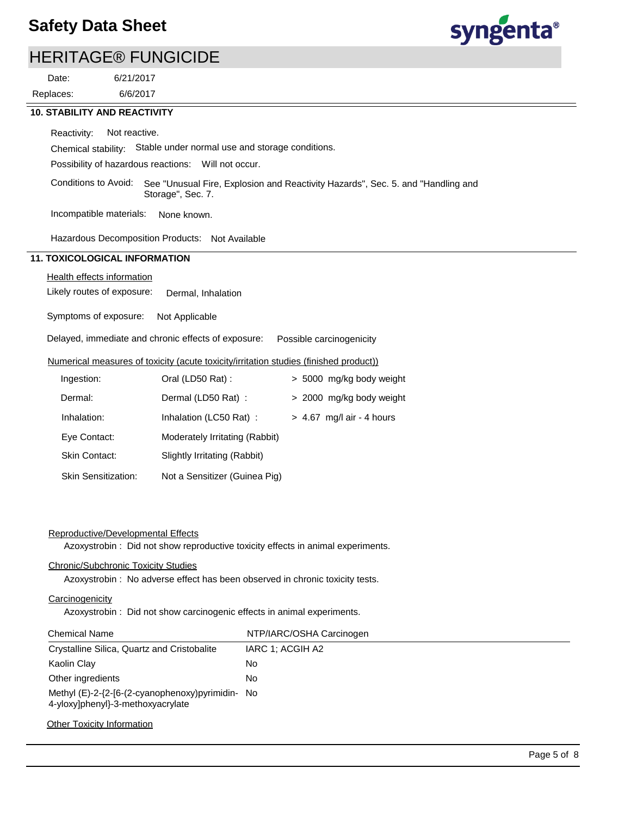

## HERITAGE® FUNGICIDE

Replaces: Date:

6/6/2017 6/21/2017

#### **10. STABILITY AND REACTIVITY**

Reactivity: Not reactive.

Chemical stability: Stable under normal use and storage conditions.

Possibility of hazardous reactions: Will not occur.

Conditions to Avoid: See "Unusual Fire, Explosion and Reactivity Hazards", Sec. 5. and "Handling and Storage", Sec. 7.

Incompatible materials: None known.

Hazardous Decomposition Products: Not Available

## **11. TOXICOLOGICAL INFORMATION**

#### Health effects information

Likely routes of exposure: Dermal, Inhalation

Symptoms of exposure: Not Applicable

Delayed, immediate and chronic effects of exposure: Possible carcinogenicity

#### Numerical measures of toxicity (acute toxicity/irritation studies (finished product))

| Ingestion:          | Oral (LD50 Rat):               | > 5000 mg/kg body weight    |
|---------------------|--------------------------------|-----------------------------|
| Dermal:             | Dermal (LD50 Rat):             | > 2000 mg/kg body weight    |
| Inhalation:         | Inhalation (LC50 Rat):         | $> 4.67$ mg/l air - 4 hours |
| Eye Contact:        | Moderately Irritating (Rabbit) |                             |
| Skin Contact:       | Slightly Irritating (Rabbit)   |                             |
| Skin Sensitization: | Not a Sensitizer (Guinea Pig)  |                             |

#### Reproductive/Developmental Effects

Azoxystrobin : Did not show reproductive toxicity effects in animal experiments.

#### Chronic/Subchronic Toxicity Studies

Azoxystrobin : No adverse effect has been observed in chronic toxicity tests.

#### **Carcinogenicity**

Azoxystrobin : Did not show carcinogenic effects in animal experiments.

| <b>Chemical Name</b>                                                                  | NTP/IARC/OSHA Carcinogen |
|---------------------------------------------------------------------------------------|--------------------------|
| Crystalline Silica, Quartz and Cristobalite                                           | IARC 1: ACGIH A2         |
| Kaolin Clay                                                                           | No.                      |
| Other ingredients                                                                     | No.                      |
| Methyl (E)-2-{2-[6-(2-cyanophenoxy)pyrimidin- No<br>4-yloxy]phenyl}-3-methoxyacrylate |                          |

#### **Other Toxicity Information**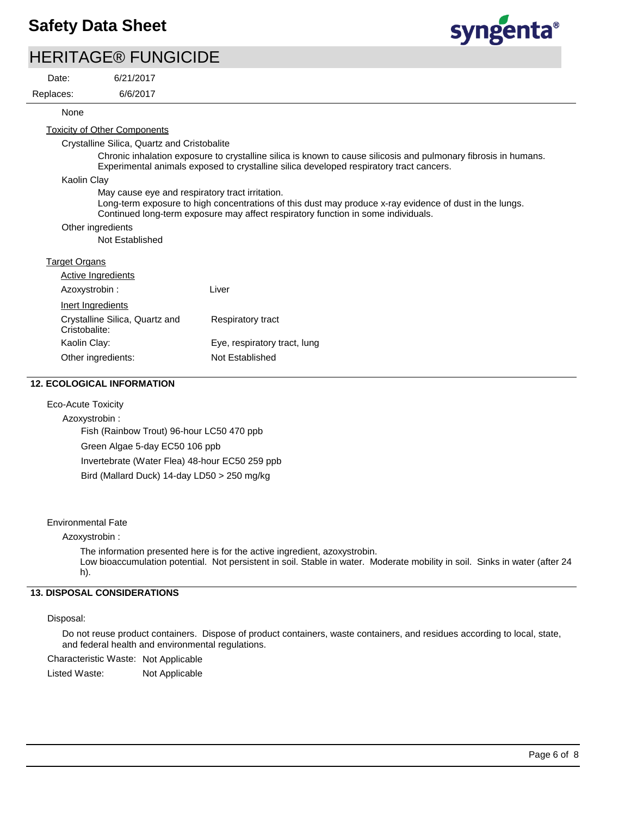

| <b>HERITAGE® FUNGICIDE</b> |  |
|----------------------------|--|
|----------------------------|--|

Replaces: Date:

6/21/2017

6/6/2017

#### $\sum_{n=0}^{\infty}$ None

Toxicity of Other Components

Crystalline Silica, Quartz and Cristobalite

Chronic inhalation exposure to crystalline silica is known to cause silicosis and pulmonary fibrosis in humans. Experimental animals exposed to crystalline silica developed respiratory tract cancers.

Kaolin Clay

May cause eye and respiratory tract irritation.

Long-term exposure to high concentrations of this dust may produce x-ray evidence of dust in the lungs. Continued long-term exposure may affect respiratory function in some individuals.

#### Other ingredients

Not Established

#### Target Organs

| Active Ingredients                              |                              |
|-------------------------------------------------|------------------------------|
| Azoxystrobin:                                   | Liver                        |
| Inert Ingredients                               |                              |
| Crystalline Silica, Quartz and<br>Cristobalite: | Respiratory tract            |
| Kaolin Clay:                                    | Eye, respiratory tract, lung |
| Other ingredients:                              | Not Established              |

#### **12. ECOLOGICAL INFORMATION**

#### Eco-Acute Toxicity

Azoxystrobin : Fish (Rainbow Trout) 96-hour LC50 470 ppb Green Algae 5-day EC50 106 ppb Invertebrate (Water Flea) 48-hour EC50 259 ppb Bird (Mallard Duck) 14-day LD50 > 250 mg/kg

#### Environmental Fate

Azoxystrobin :

The information presented here is for the active ingredient, azoxystrobin.

Low bioaccumulation potential. Not persistent in soil. Stable in water. Moderate mobility in soil. Sinks in water (after 24 h).

### **13. DISPOSAL CONSIDERATIONS**

#### Disposal:

Do not reuse product containers. Dispose of product containers, waste containers, and residues according to local, state, and federal health and environmental regulations.

Characteristic Waste: Not Applicable

Listed Waste: Not Applicable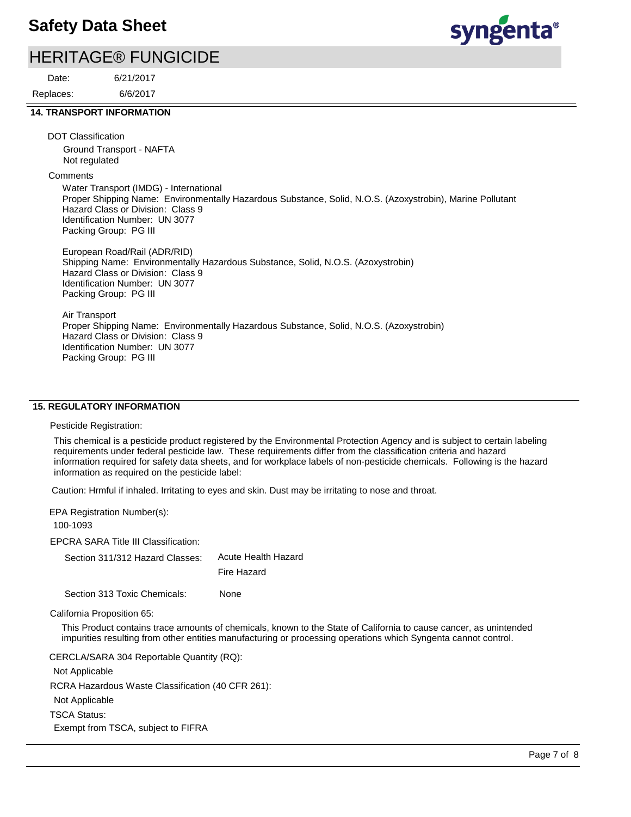## HERITAGE® FUNGICIDE

Replaces: Date:

6/6/2017 6/21/2017

# syngenta®

#### **14. TRANSPORT INFORMATION**

DOT Classification

Ground Transport - NAFTA Not regulated

**Comments** 

Water Transport (IMDG) - International Proper Shipping Name: Environmentally Hazardous Substance, Solid, N.O.S. (Azoxystrobin), Marine Pollutant Hazard Class or Division: Class 9 Identification Number: UN 3077 Packing Group: PG III

European Road/Rail (ADR/RID) Shipping Name: Environmentally Hazardous Substance, Solid, N.O.S. (Azoxystrobin) Hazard Class or Division: Class 9 Identification Number: UN 3077 Packing Group: PG III

Air Transport Proper Shipping Name: Environmentally Hazardous Substance, Solid, N.O.S. (Azoxystrobin) Hazard Class or Division: Class 9 Identification Number: UN 3077 Packing Group: PG III

#### **15. REGULATORY INFORMATION**

Pesticide Registration:

This chemical is a pesticide product registered by the Environmental Protection Agency and is subject to certain labeling requirements under federal pesticide law. These requirements differ from the classification criteria and hazard information required for safety data sheets, and for workplace labels of non-pesticide chemicals. Following is the hazard information as required on the pesticide label:

Caution: Hrmful if inhaled. Irritating to eyes and skin. Dust may be irritating to nose and throat.

EPA Registration Number(s):

100-1093

EPCRA SARA Title III Classification:

Section 311/312 Hazard Classes: Acute Health Hazard Fire Hazard

Section 313 Toxic Chemicals: None

California Proposition 65:

This Product contains trace amounts of chemicals, known to the State of California to cause cancer, as unintended impurities resulting from other entities manufacturing or processing operations which Syngenta cannot control.

CERCLA/SARA 304 Reportable Quantity (RQ):

Not Applicable

RCRA Hazardous Waste Classification (40 CFR 261):

Not Applicable

TSCA Status:

Exempt from TSCA, subject to FIFRA